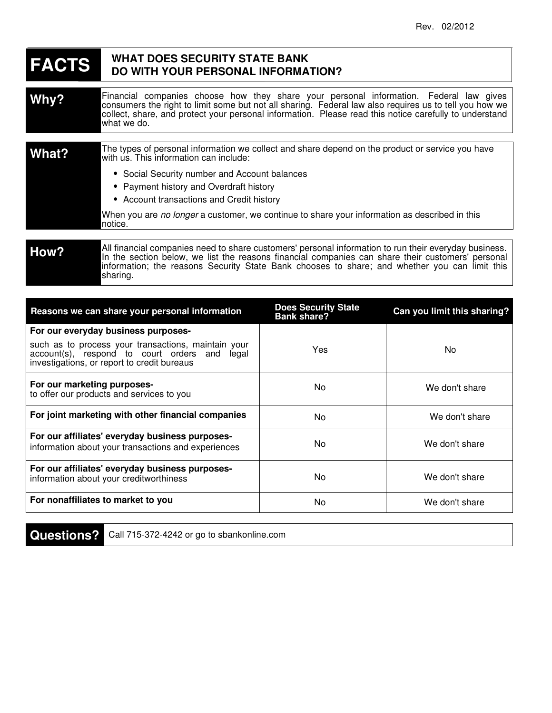## **WHAT DOES FACTS DO WITH YOUR PERSONAL INFORMATION? WHAT DOES SECURITY STATE BANK**

Financial companies choose how they share your personal information. Federal law gives consumers the right to limit some but not all sharing. Federal law also requires us to tell you how we collect, share, and protect your personal information. Please read this notice carefully to understand what we do. **Why?**

| What?            | The types of personal information we collect and share depend on the product or service you have<br>with us. This information can include: |  |
|------------------|--------------------------------------------------------------------------------------------------------------------------------------------|--|
|                  | • Social Security number and Account balances<br>• Payment history and Overdraft history<br>• Account transactions and Credit history      |  |
|                  | When you are no longer a customer, we continue to share your information as described in this<br>notice.                                   |  |
|                  |                                                                                                                                            |  |
| $H_{\mathbf{O}}$ | All financial companies need to share customers' personal information to run their everyday business.                                      |  |

## **How?** In the section below, we list the reasons financial companies can share their customers' personal information; the reasons Security State Bank chooses to share; and whether you can limit this sharing.

| Reasons we can share your personal information                                                                                                      | <b>Does Security State</b><br><b>Bank share?</b> | Can you limit this sharing? |
|-----------------------------------------------------------------------------------------------------------------------------------------------------|--------------------------------------------------|-----------------------------|
| For our everyday business purposes-                                                                                                                 |                                                  |                             |
| such as to process your transactions, maintain your<br>account(s), respond to court orders and legal<br>investigations, or report to credit bureaus | Yes                                              | No.                         |
| For our marketing purposes-<br>to offer our products and services to you                                                                            | No                                               | We don't share              |
| For joint marketing with other financial companies                                                                                                  | No.                                              | We don't share              |
| For our affiliates' everyday business purposes-<br>information about your transactions and experiences                                              | No                                               | We don't share              |
| For our affiliates' everyday business purposes-<br>information about your creditworthiness                                                          | No                                               | We don't share              |
| For nonaffiliates to market to you                                                                                                                  | No                                               | We don't share              |

**Questions?**

Call 715-372-4242 or go to sbankonline.com